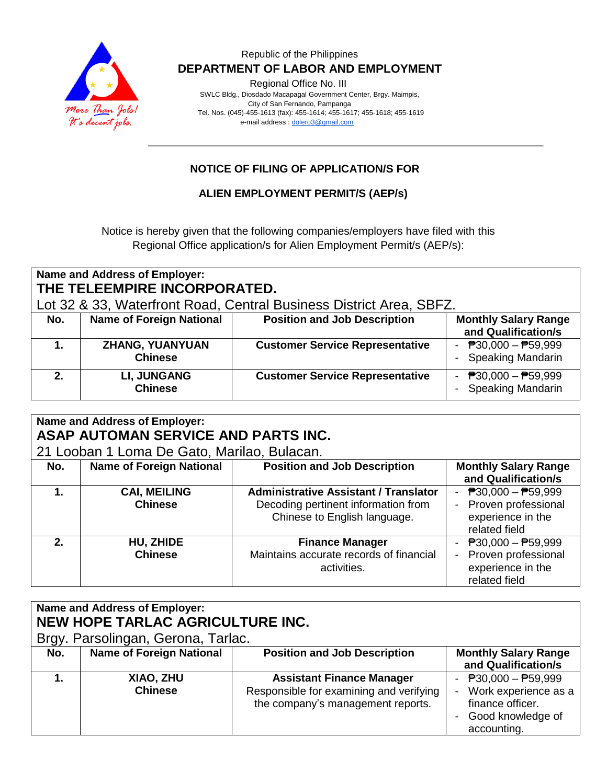

### Republic of the Philippines  **DEPARTMENT OF LABOR AND EMPLOYMENT**

Regional Office No. III

 SWLC Bldg., Diosdado Macapagal Government Center, Brgy. Maimpis, City of San Fernando, Pampanga Tel. Nos. (045)-455-1613 (fax): 455-1614; 455-1617; 455-1618; 455-1619 e-mail address [: dolero3@gmail.com](mailto:dolero3@gmail.com)

# **NOTICE OF FILING OF APPLICATION/S FOR**

## **ALIEN EMPLOYMENT PERMIT/S (AEP/s)**

Notice is hereby given that the following companies/employers have filed with this Regional Office application/s for Alien Employment Permit/s (AEP/s):

# **Name and Address of Employer: THE TELEEMPIRE INCORPORATED.**

Lot 32 & 33, Waterfront Road, Central Business District Area, SBFZ.

| No. | <b>Name of Foreign National</b>          | <b>Position and Job Description</b>    | <b>Monthly Salary Range</b><br>and Qualification/s |
|-----|------------------------------------------|----------------------------------------|----------------------------------------------------|
|     | <b>ZHANG, YUANYUAN</b><br><b>Chinese</b> | <b>Customer Service Representative</b> | - $P30,000 - P59,999$<br>- Speaking Mandarin       |
|     | <b>LI, JUNGANG</b><br><b>Chinese</b>     | <b>Customer Service Representative</b> | - $P30,000 - P59,999$<br><b>Speaking Mandarin</b>  |

# **Name and Address of Employer: ASAP AUTOMAN SERVICE AND PARTS INC.**

21 Looban 1 Loma De Gato, Marilao, Bulacan.

|     | L Loopan - Lona Do Galo, maniao, Dalaban. |                                                                     |                                                             |  |
|-----|-------------------------------------------|---------------------------------------------------------------------|-------------------------------------------------------------|--|
| No. | <b>Name of Foreign National</b>           | <b>Position and Job Description</b>                                 | <b>Monthly Salary Range</b>                                 |  |
|     |                                           |                                                                     | and Qualification/s                                         |  |
|     | <b>CAI, MEILING</b>                       | <b>Administrative Assistant / Translator</b>                        | - $P30,000 - P59,999$                                       |  |
|     | <b>Chinese</b>                            | Decoding pertinent information from<br>Chinese to English language. | - Proven professional<br>experience in the<br>related field |  |
| 2.  | HU, ZHIDE                                 | <b>Finance Manager</b>                                              | - $P30,000 - P59,999$                                       |  |
|     | <b>Chinese</b>                            | Maintains accurate records of financial                             | - Proven professional                                       |  |
|     |                                           | activities.                                                         | experience in the                                           |  |
|     |                                           |                                                                     | related field                                               |  |

| Name and Address of Employer:<br>NEW HOPE TARLAC AGRICULTURE INC.<br>Brgy. Parsolingan, Gerona, Tarlac. |                                 |                                                                                                                  |                                                                                                                               |
|---------------------------------------------------------------------------------------------------------|---------------------------------|------------------------------------------------------------------------------------------------------------------|-------------------------------------------------------------------------------------------------------------------------------|
| No.                                                                                                     | <b>Name of Foreign National</b> | <b>Position and Job Description</b>                                                                              | <b>Monthly Salary Range</b><br>and Qualification/s                                                                            |
|                                                                                                         | XIAO, ZHU<br><b>Chinese</b>     | <b>Assistant Finance Manager</b><br>Responsible for examining and verifying<br>the company's management reports. | - $\overline{P}30,000 - \overline{P}59,999$<br>Work experience as a<br>finance officer.<br>- Good knowledge of<br>accounting. |